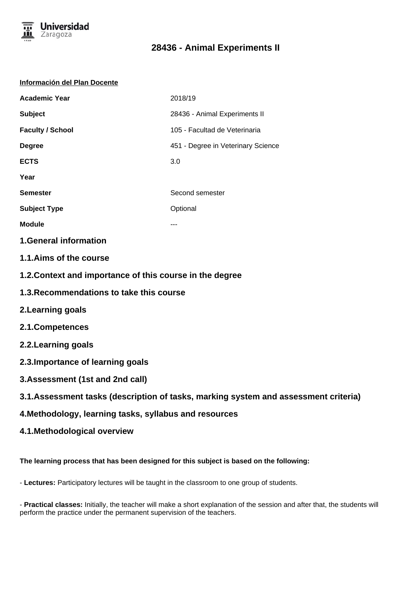

#### **Información del Plan Docente**

| <b>Academic Year</b>    | 2018/19                            |  |
|-------------------------|------------------------------------|--|
| <b>Subject</b>          | 28436 - Animal Experiments II      |  |
| <b>Faculty / School</b> | 105 - Facultad de Veterinaria      |  |
| <b>Degree</b>           | 451 - Degree in Veterinary Science |  |
| <b>ECTS</b>             | 3.0                                |  |
| Year                    |                                    |  |
| <b>Semester</b>         | Second semester                    |  |
| <b>Subject Type</b>     | Optional                           |  |
| <b>Module</b>           |                                    |  |
|                         |                                    |  |

**1.General information**

- **1.1.Aims of the course**
- **1.2.Context and importance of this course in the degree**
- **1.3.Recommendations to take this course**
- **2.Learning goals**
- **2.1.Competences**
- **2.2.Learning goals**
- **2.3.Importance of learning goals**
- **3.Assessment (1st and 2nd call)**
- **3.1.Assessment tasks (description of tasks, marking system and assessment criteria)**
- **4.Methodology, learning tasks, syllabus and resources**
- **4.1.Methodological overview**

**The learning process that has been designed for this subject is based on the following:**

- **Lectures:** Participatory lectures will be taught in the classroom to one group of students.

- **Practical classes:** Initially, the teacher will make a short explanation of the session and after that, the students will perform the practice under the permanent supervision of the teachers.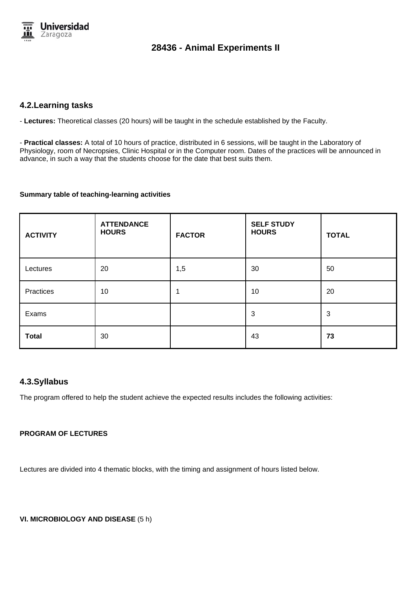

## **4.2.Learning tasks**

- **Lectures:** Theoretical classes (20 hours) will be taught in the schedule established by the Faculty.

- **Practical classes:** A total of 10 hours of practice, distributed in 6 sessions, will be taught in the Laboratory of Physiology, room of Necropsies, Clinic Hospital or in the Computer room. Dates of the practices will be announced in advance, in such a way that the students choose for the date that best suits them.

#### **Summary table of teaching-learning activities**

| <b>ACTIVITY</b> | <b>ATTENDANCE</b><br><b>HOURS</b> | <b>FACTOR</b> | <b>SELF STUDY</b><br><b>HOURS</b> | <b>TOTAL</b> |
|-----------------|-----------------------------------|---------------|-----------------------------------|--------------|
| Lectures        | 20                                | 1,5           | 30                                | 50           |
| Practices       | 10                                |               | 10                                | 20           |
| Exams           |                                   |               | 3                                 | 3            |
| <b>Total</b>    | 30                                |               | 43                                | 73           |

### **4.3.Syllabus**

The program offered to help the student achieve the expected results includes the following activities:

### **PROGRAM OF LECTURES**

Lectures are divided into 4 thematic blocks, with the timing and assignment of hours listed below.

**VI. MICROBIOLOGY AND DISEASE** (5 h)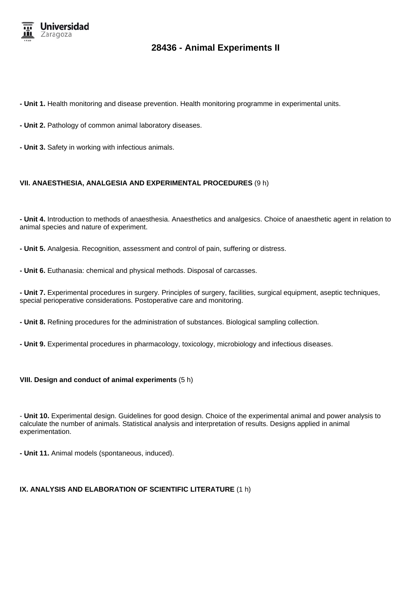

- **Unit 1.** Health monitoring and disease prevention. Health monitoring programme in experimental units.
- **Unit 2.** Pathology of common animal laboratory diseases.
- **Unit 3.** Safety in working with infectious animals.

#### **VII. ANAESTHESIA, ANALGESIA AND EXPERIMENTAL PROCEDURES** (9 h)

**- Unit 4.** Introduction to methods of anaesthesia. Anaesthetics and analgesics. Choice of anaesthetic agent in relation to animal species and nature of experiment.

**- Unit 5.** Analgesia. Recognition, assessment and control of pain, suffering or distress.

**- Unit 6.** Euthanasia: chemical and physical methods. Disposal of carcasses.

**- Unit 7.** Experimental procedures in surgery. Principles of surgery, facilities, surgical equipment, aseptic techniques, special perioperative considerations. Postoperative care and monitoring.

**- Unit 8.** Refining procedures for the administration of substances. Biological sampling collection.

**- Unit 9.** Experimental procedures in pharmacology, toxicology, microbiology and infectious diseases.

#### **VIII. Design and conduct of animal experiments** (5 h)

- **Unit 10.** Experimental design. Guidelines for good design. Choice of the experimental animal and power analysis to calculate the number of animals. Statistical analysis and interpretation of results. Designs applied in animal experimentation.

**- Unit 11.** Animal models (spontaneous, induced).

#### **IX. ANALYSIS AND ELABORATION OF SCIENTIFIC LITERATURE** (1 h)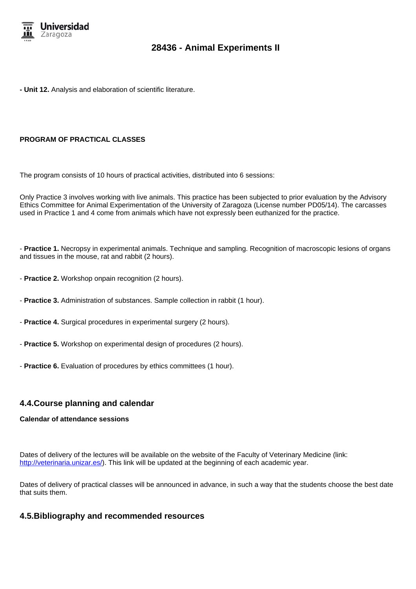

**- Unit 12.** Analysis and elaboration of scientific literature.

#### **PROGRAM OF PRACTICAL CLASSES**

The program consists of 10 hours of practical activities, distributed into 6 sessions:

Only Practice 3 involves working with live animals. This practice has been subjected to prior evaluation by the Advisory Ethics Committee for Animal Experimentation of the University of Zaragoza (License number PD05/14). The carcasses used in Practice 1 and 4 come from animals which have not expressly been euthanized for the practice.

- **Practice 1.** Necropsy in experimental animals. Technique and sampling. Recognition of macroscopic lesions of organs and tissues in the mouse, rat and rabbit (2 hours).

- **Practice 2.** Workshop onpain recognition (2 hours).
- **Practice 3.** Administration of substances. Sample collection in rabbit (1 hour).
- **Practice 4.** Surgical procedures in experimental surgery (2 hours).
- **Practice 5.** Workshop on experimental design of procedures (2 hours).
- **Practice 6.** Evaluation of procedures by ethics committees (1 hour).

## **4.4.Course planning and calendar**

#### **Calendar of attendance sessions**

Dates of delivery of the lectures will be available on the website of the Faculty of Veterinary Medicine (link: http://veterinaria.unizar.es/). This link will be updated at the beginning of each academic year.

Dates of delivery of practical classes will be announced in advance, in such a way that the students choose the best date that suits them.

### **4.5.Bibliography and recommended resources**